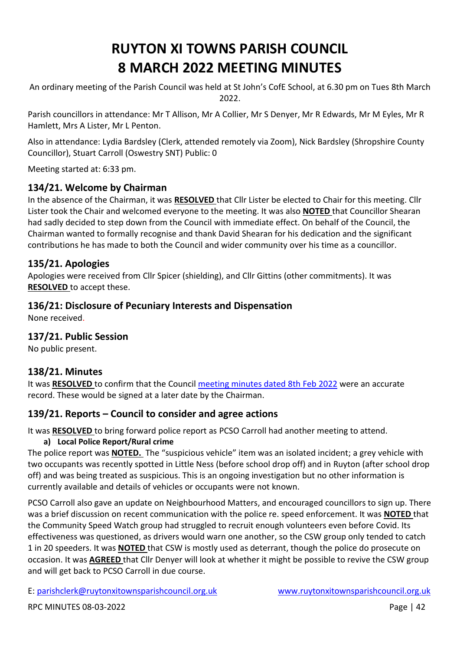# **RUYTON XI TOWNS PARISH COUNCIL 8 MARCH 2022 MEETING MINUTES**

An ordinary meeting of the Parish Council was held at St John's CofE School, at 6.30 pm on Tues 8th March 2022.

Parish councillors in attendance: Mr T Allison, Mr A Collier, Mr S Denyer, Mr R Edwards, Mr M Eyles, Mr R Hamlett, Mrs A Lister, Mr L Penton.

Also in attendance: Lydia Bardsley (Clerk, attended remotely via Zoom), Nick Bardsley (Shropshire County Councillor), Stuart Carroll (Oswestry SNT) Public: 0

Meeting started at: 6:33 pm.

# **134/21. Welcome by Chairman**

In the absence of the Chairman, it was **RESOLVED** that Cllr Lister be elected to Chair for this meeting. Cllr Lister took the Chair and welcomed everyone to the meeting. It was also **NOTED** that Councillor Shearan had sadly decided to step down from the Council with immediate effect. On behalf of the Council, the Chairman wanted to formally recognise and thank David Shearan for his dedication and the significant contributions he has made to both the Council and wider community over his time as a councillor.

## **135/21. Apologies**

Apologies were received from Cllr Spicer (shielding), and Cllr Gittins (other commitments). It was **RESOLVED** to accept these.

## **136/21: Disclosure of Pecuniary Interests and Dispensation**

None received.

#### **137/21. Public Session**

No public present.

#### **138/21. Minutes**

It was **RESOLVED** to confirm that the Council [meeting minutes dated 8th Feb](http://www.ruytonxitownsparishcouncil.org.uk/wp-content/uploads/2022/03/Feb-2022-minutes.pdf) 2022 were an accurate record. These would be signed at a later date by the Chairman.

# **139/21. Reports – Council to consider and agree actions**

It was **RESOLVED** to bring forward police report as PCSO Carroll had another meeting to attend.

#### **a) Local Police Report/Rural crime**

The police report was **NOTED.** The "suspicious vehicle" item was an isolated incident; a grey vehicle with two occupants was recently spotted in Little Ness (before school drop off) and in Ruyton (after school drop off) and was being treated as suspicious. This is an ongoing investigation but no other information is currently available and details of vehicles or occupants were not known.

PCSO Carroll also gave an update on Neighbourhood Matters, and encouraged councillors to sign up. There was a brief discussion on recent communication with the police re. speed enforcement. It was **NOTED** that the Community Speed Watch group had struggled to recruit enough volunteers even before Covid. Its effectiveness was questioned, as drivers would warn one another, so the CSW group only tended to catch 1 in 20 speeders. It was **NOTED** that CSW is mostly used as deterrant, though the police do prosecute on occasion. It was **AGREED** that Cllr Denyer will look at whether it might be possible to revive the CSW group and will get back to PCSO Carroll in due course.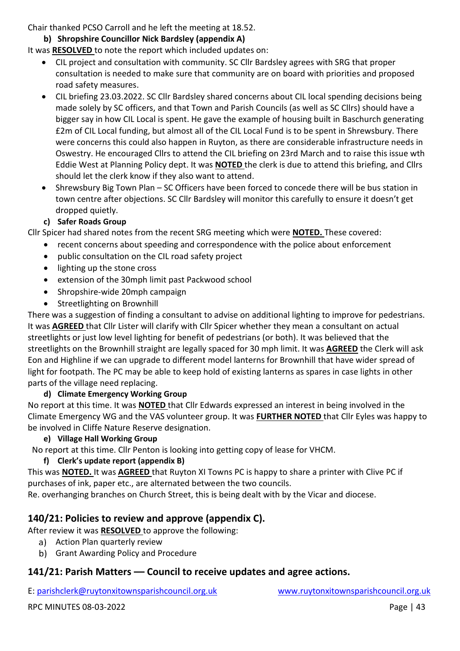Chair thanked PCSO Carroll and he left the meeting at 18.52.

#### **b) Shropshire Councillor Nick Bardsley (appendix A)**

#### It was **RESOLVED** to note the report which included updates on:

- CIL project and consultation with community. SC Cllr Bardsley agrees with SRG that proper consultation is needed to make sure that community are on board with priorities and proposed road safety measures.
- CIL briefing 23.03.2022. SC Cllr Bardsley shared concerns about CIL local spending decisions being made solely by SC officers, and that Town and Parish Councils (as well as SC Cllrs) should have a bigger say in how CIL Local is spent. He gave the example of housing built in Baschurch generating £2m of CIL Local funding, but almost all of the CIL Local Fund is to be spent in Shrewsbury. There were concerns this could also happen in Ruyton, as there are considerable infrastructure needs in Oswestry. He encouraged Cllrs to attend the CIL briefing on 23rd March and to raise this issue wth Eddie West at Planning Policy dept. It was **NOTED** the clerk is due to attend this briefing, and Cllrs should let the clerk know if they also want to attend.
- Shrewsbury Big Town Plan SC Officers have been forced to concede there will be bus station in town centre after objections. SC Cllr Bardsley will monitor this carefully to ensure it doesn't get dropped quietly.

## **c) Safer Roads Group**

Cllr Spicer had shared notes from the recent SRG meeting which were **NOTED.** These covered:

- recent concerns about speeding and correspondence with the police about enforcement
- public consultation on the CIL road safety project
- lighting up the stone cross
- extension of the 30mph limit past Packwood school
- Shropshire-wide 20mph campaign
- Streetlighting on Brownhill

There was a suggestion of finding a consultant to advise on additional lighting to improve for pedestrians. It was **AGREED** that Cllr Lister will clarify with Cllr Spicer whether they mean a consultant on actual streetlights or just low level lighting for benefit of pedestrians (or both). It was believed that the streetlights on the Brownhill straight are legally spaced for 30 mph limit. It was **AGREED** the Clerk will ask Eon and Highline if we can upgrade to different model lanterns for Brownhill that have wider spread of light for footpath. The PC may be able to keep hold of existing lanterns as spares in case lights in other parts of the village need replacing.

#### **d) Climate Emergency Working Group**

No report at this time. It was **NOTED** that Cllr Edwards expressed an interest in being involved in the Climate Emergency WG and the VAS volunteer group. It was **FURTHER NOTED** that Cllr Eyles was happy to be involved in Cliffe Nature Reserve designation.

#### **e) Village Hall Working Group**

No report at this time. Cllr Penton is looking into getting copy of lease for VHCM.

#### **f) Clerk's update report (appendix B)**

This was **NOTED.** It was **AGREED** that Ruyton XI Towns PC is happy to share a printer with Clive PC if purchases of ink, paper etc., are alternated between the two councils.

Re. overhanging branches on Church Street, this is being dealt with by the Vicar and diocese.

# **140/21: Policies to review and approve (appendix C).**

After review it was **RESOLVED** to approve the following:

- a) Action Plan quarterly review
- b) Grant Awarding Policy and Procedure

# **141/21: Parish Matters –– Council to receive updates and agree actions.**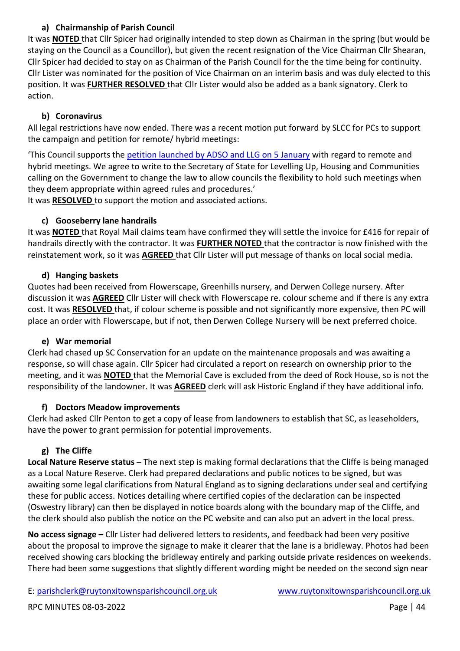#### **a) Chairmanship of Parish Council**

It was **NOTED** that Cllr Spicer had originally intended to step down as Chairman in the spring (but would be staying on the Council as a Councillor), but given the recent resignation of the Vice Chairman Cllr Shearan, Cllr Spicer had decided to stay on as Chairman of the Parish Council for the the time being for continuity. Cllr Lister was nominated for the position of Vice Chairman on an interim basis and was duly elected to this position. It was **FURTHER RESOLVED** that Cllr Lister would also be added as a bank signatory. Clerk to action.

## **b) Coronavirus**

All legal restrictions have now ended. There was a recent motion put forward by SLCC for PCs to support the campaign and petition for remote/ hybrid meetings:

'This Council supports the [petition launched by ADSO and LLG on 5 January](https://www.change.org/p/uk-government-and-parliament-for-councils-in-england-to-have-the-choice-to-meet-remotely?recruiter=1244721622&utm_source=share_petition&utm_medium=email&utm_campaign=share_email_responsive&recruited_by_id=d59d8ff0-6e1e-11ec-8844-2bee7e0ba126) with regard to remote and hybrid meetings. We agree to write to the Secretary of State for Levelling Up, Housing and Communities calling on the Government to change the law to allow councils the flexibility to hold such meetings when they deem appropriate within agreed rules and procedures.'

It was **RESOLVED** to support the motion and associated actions.

#### **c) Gooseberry lane handrails**

It was **NOTED** that Royal Mail claims team have confirmed they will settle the invoice for £416 for repair of handrails directly with the contractor. It was **FURTHER NOTED** that the contractor is now finished with the reinstatement work, so it was **AGREED** that Cllr Lister will put message of thanks on local social media.

## **d) Hanging baskets**

Quotes had been received from Flowerscape, Greenhills nursery, and Derwen College nursery. After discussion it was **AGREED** Cllr Lister will check with Flowerscape re. colour scheme and if there is any extra cost. It was **RESOLVED** that, if colour scheme is possible and not significantly more expensive, then PC will place an order with Flowerscape, but if not, then Derwen College Nursery will be next preferred choice.

#### **e) War memorial**

Clerk had chased up SC Conservation for an update on the maintenance proposals and was awaiting a response, so will chase again. Cllr Spicer had circulated a report on research on ownership prior to the meeting, and it was **NOTED** that the Memorial Cave is excluded from the deed of Rock House, so is not the responsibility of the landowner. It was **AGREED** clerk will ask Historic England if they have additional info.

#### **f) Doctors Meadow improvements**

Clerk had asked Cllr Penton to get a copy of lease from landowners to establish that SC, as leaseholders, have the power to grant permission for potential improvements.

# **g) The Cliffe**

**Local Nature Reserve status –** The next step is making formal declarations that the Cliffe is being managed as a Local Nature Reserve. Clerk had prepared declarations and public notices to be signed, but was awaiting some legal clarifications from Natural England as to signing declarations under seal and certifying these for public access. Notices detailing where certified copies of the declaration can be inspected (Oswestry library) can then be displayed in notice boards along with the boundary map of the Cliffe, and the clerk should also publish the notice on the PC website and can also put an advert in the local press.

**No access signage –** Cllr Lister had delivered letters to residents, and feedback had been very positive about the proposal to improve the signage to make it clearer that the lane is a bridleway. Photos had been received showing cars blocking the bridleway entirely and parking outside private residences on weekends. There had been some suggestions that slightly different wording might be needed on the second sign near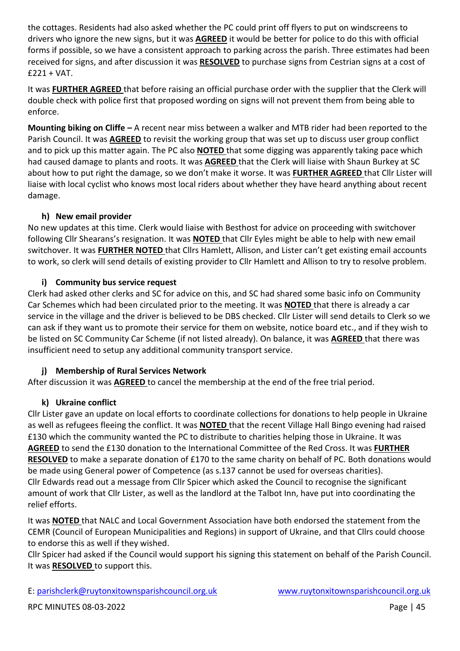the cottages. Residents had also asked whether the PC could print off flyers to put on windscreens to drivers who ignore the new signs, but it was **AGREED** it would be better for police to do this with official forms if possible, so we have a consistent approach to parking across the parish. Three estimates had been received for signs, and after discussion it was **RESOLVED** to purchase signs from Cestrian signs at a cost of  $£221 + VAT.$ 

It was **FURTHER AGREED** that before raising an official purchase order with the supplier that the Clerk will double check with police first that proposed wording on signs will not prevent them from being able to enforce.

**Mounting biking on Cliffe –** A recent near miss between a walker and MTB rider had been reported to the Parish Council. It was **AGREED** to revisit the working group that was set up to discuss user group conflict and to pick up this matter again. The PC also **NOTED** that some digging was apparently taking pace which had caused damage to plants and roots. It was **AGREED** that the Clerk will liaise with Shaun Burkey at SC about how to put right the damage, so we don't make it worse. It was **FURTHER AGREED** that Cllr Lister will liaise with local cyclist who knows most local riders about whether they have heard anything about recent damage.

#### **h) New email provider**

No new updates at this time. Clerk would liaise with Besthost for advice on proceeding with switchover following Cllr Shearans's resignation. It was **NOTED** that Cllr Eyles might be able to help with new email switchover. It was **FURTHER NOTED** that Cllrs Hamlett, Allison, and Lister can't get existing email accounts to work, so clerk will send details of existing provider to Cllr Hamlett and Allison to try to resolve problem.

#### **i) Community bus service request**

Clerk had asked other clerks and SC for advice on this, and SC had shared some basic info on Community Car Schemes which had been circulated prior to the meeting. It was **NOTED** that there is already a car service in the village and the driver is believed to be DBS checked. Cllr Lister will send details to Clerk so we can ask if they want us to promote their service for them on website, notice board etc., and if they wish to be listed on SC Community Car Scheme (if not listed already). On balance, it was **AGREED** that there was insufficient need to setup any additional community transport service.

#### **j) Membership of Rural Services Network**

After discussion it was **AGREED** to cancel the membership at the end of the free trial period.

#### **k) Ukraine conflict**

Cllr Lister gave an update on local efforts to coordinate collections for donations to help people in Ukraine as well as refugees fleeing the conflict. It was **NOTED** that the recent Village Hall Bingo evening had raised £130 which the community wanted the PC to distribute to charities helping those in Ukraine. It was **AGREED** to send the £130 donation to the International Committee of the Red Cross. It was **FURTHER RESOLVED** to make a separate donation of £170 to the same charity on behalf of PC. Both donations would be made using General power of Competence (as s.137 cannot be used for overseas charities). Cllr Edwards read out a message from Cllr Spicer which asked the Council to recognise the significant amount of work that Cllr Lister, as well as the landlord at the Talbot Inn, have put into coordinating the relief efforts.

It was **NOTED** that NALC and Local Government Association have both endorsed the statement from the CEMR (Council of European Municipalities and Regions) in support of Ukraine, and that Cllrs could choose to endorse this as well if they wished.

Cllr Spicer had asked if the Council would support his signing this statement on behalf of the Parish Council. It was **RESOLVED** to support this.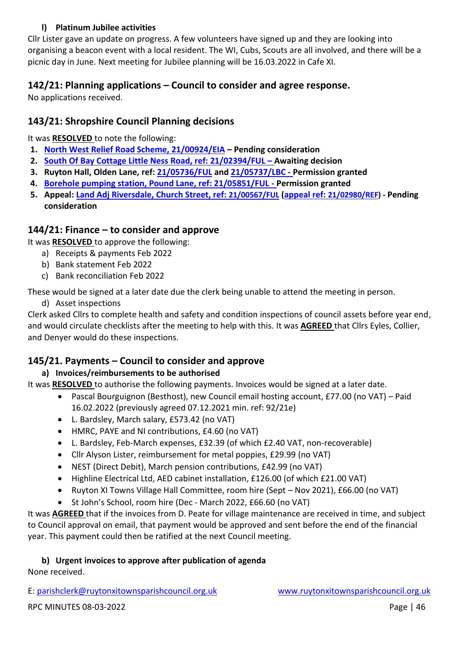#### **l) Platinum Jubilee activities**

Cllr Lister gave an update on progress. A few volunteers have signed up and they are looking into organising a beacon event with a local resident. The WI, Cubs, Scouts are all involved, and there will be a picnic day in June. Next meeting for Jubilee planning will be 16.03.2022 in Cafe XI.

# **142/21: Planning applications – Council to consider and agree response.**

No applications received.

# **143/21: Shropshire Council Planning decisions**

It was **RESOLVED** to note the following:

- **1. [North West Relief Road Scheme, 21/00924/EIA](https://pa.shropshire.gov.uk/online-applications/applicationDetails.do?activeTab=summary&keyVal=QOXI5QTD06Z00) – Pending consideration**
- **2. [South Of Bay Cottage Little Ness Road, ref: 21/02394/FUL](https://pa.shropshire.gov.uk/online-applications/applicationDetails.do?activeTab=summary&keyVal=QSWEBQTD06Z00) – Awaiting decision**
- **3. Ruyton Hall, Olden Lane, ref: [21/05736/FUL](https://pa.shropshire.gov.uk/online-applications/applicationDetails.do?activeTab=summary&keyVal=R3REBVTDK3M00) and [21/05737/LBC](https://pa.shropshire.gov.uk/online-applications/applicationDetails.do?activeTab=summary&keyVal=R3RECATDK3N00) - Permission granted**
- **4. [Borehole pumping station, Pound Lane, ref: 21/05851/FUL](https://pa.shropshire.gov.uk/online-applications/applicationDetails.do?activeTab=summary&keyVal=R467M8TDK9X00) - Permission granted**
- **5. Appeal: [Land Adj Riversdale, Church Street, ref:](https://pa.shropshire.gov.uk/online-applications/applicationDetails.do?activeTab=summary&keyVal=QNYVN9TDKGI00) [21/00567/FUL](https://pa.shropshire.gov.uk/online-applications/applicationDetails.do?activeTab=summary&keyVal=QNYVN9TDKGI00) [\(appeal ref:](https://pa.shropshire.gov.uk/online-applications/appealDetails.do?activeTab=summary&keyVal=R4ICPBTD01O00) [21/02980/REF\)](https://pa.shropshire.gov.uk/online-applications/appealDetails.do?activeTab=summary&keyVal=R4ICPBTD01O00) - Pending consideration**

# **144/21: Finance – to consider and approve**

It was **RESOLVED** to approve the following:

- a) Receipts & payments Feb 2022
- b) Bank statement Feb 2022
- c) Bank reconciliation Feb 2022

These would be signed at a later date due the clerk being unable to attend the meeting in person.

d) Asset inspections

Clerk asked Cllrs to complete health and safety and condition inspections of council assets before year end, and would circulate checklists after the meeting to help with this. It was **AGREED** that Cllrs Eyles, Collier, and Denyer would do these inspections.

# **145/21. Payments – Council to consider and approve**

# **a) Invoices/reimbursements to be authorised**

It was **RESOLVED** to authorise the following payments. Invoices would be signed at a later date.

- Pascal Bourguignon (Besthost), new Council email hosting account, £77.00 (no VAT) Paid 16.02.2022 (previously agreed 07.12.2021 min. ref: 92/21e)
- L. Bardsley, March salary, £573.42 (no VAT)
- HMRC, PAYE and NI contributions, £4.60 (no VAT)
- L. Bardsley, Feb-March expenses, £32.39 (of which £2.40 VAT, non-recoverable)
- Cllr Alyson Lister, reimbursement for metal poppies, £29.99 (no VAT)
- NEST (Direct Debit), March pension contributions, £42.99 (no VAT)
- Highline Electrical Ltd, AED cabinet installation, £126.00 (of which £21.00 VAT)
- Ruyton XI Towns Village Hall Committee, room hire (Sept Nov 2021), £66.00 (no VAT)
- St John's School, room hire (Dec March 2022, £66.60 (no VAT)

It was **AGREED** that if the invoices from D. Peate for village maintenance are received in time, and subject to Council approval on email, that payment would be approved and sent before the end of the financial year. This payment could then be ratified at the next Council meeting.

#### **b) Urgent invoices to approve after publication of agenda**

None received.